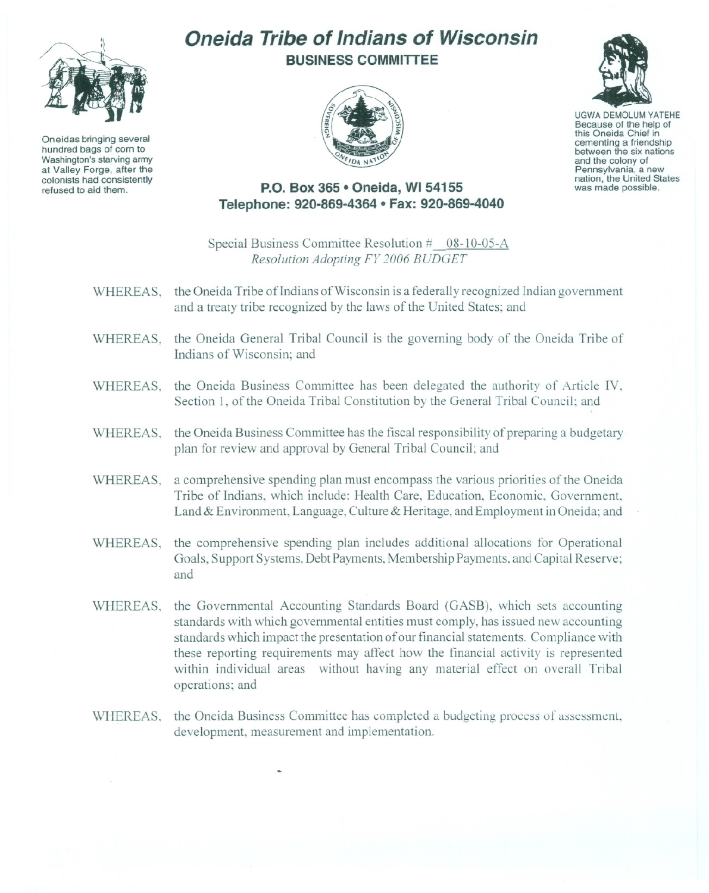

Oneidas bringing several hundred bags of corn to Washington's starving army at Valley Forge, after the colonists had consistently refused to aid them.

## **Oneida Tribe of Indians of Wisconsin BUSINESS COMMITTEE**



UGWA DEMOLUM YATEHE Because of the help of this Oneida Chief in<br>cementing a friendship between the six nations and the colony of<br>Pennsylvania, a new nation, the United States was made possible.

## **P.O. Box 365 • Oneida, WI 54155 Telephone: 920-869-4364 • Fax: 920-869-4040**

Special Business Committee Resolution # 08-10-05-A *Resolution Adopting FY 2006 BUDGET*

- WHEREAS, the Oneida Tribe of Indians of Wisconsin is a federally recognized Indian government and a treaty tribe recognized by the laws of the United States; and
- WHEREAS, the Oneida General Tribal Council is the governing body of the Oneida Tribe of Indians of Wisconsin; and
- WHEREAS, the Oneida Business Committee has been delegated the authority of Article IV, Section 1, of the Oneida Tribal Constitution by the General Tribal Council; and
- WHEREAS, the Oneida Business Committee has the fiscal responsibility of preparing a budgetary plan for review and approval by General Tribal Council; and
- WHEREAS, a comprehensive spending plan must encompass the various priorities of the Oneida Tribe of Indians, which include: Health Care, Education, Economic, Government, Land & Environment, Language, Culture & Heritage, and Employment in Oneida; and
- WHEREAS, the comprehensive spending plan includes additional allocations for Operational Goals, Support Systems, Debt Payments, Membership Payments, and Capital Reserve; and
- WHEREAS, the Governmental Accounting Standards Board (GASB), which sets accounting standards with which governmental entities must comply, has issued new accounting standards which impact the presentation of our financial statements. Compliance with these reporting requirements may affect how the tinancial activity is represented within individual areas without having any material effect on overall Tribal operations; and
- WHEREAS, the Oneida Business Committee has completed a budgeting process of assessment, development, measurement and implementation.